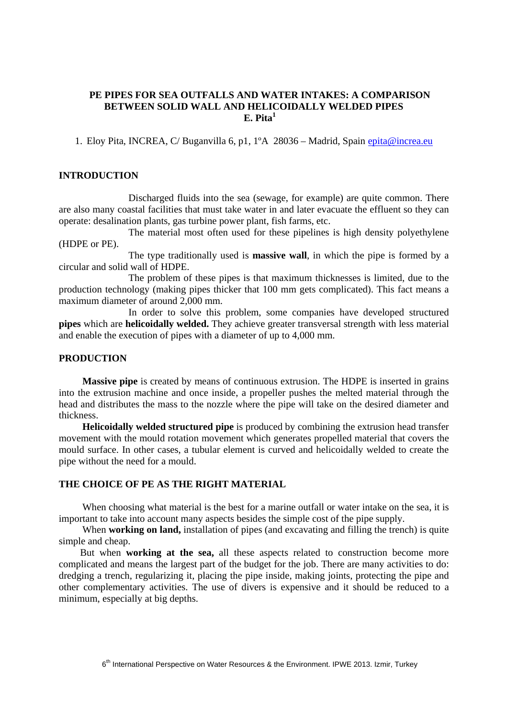# **PE PIPES FOR SEA OUTFALLS AND WATER INTAKES: A COMPARISON BETWEEN SOLID WALL AND HELICOIDALLY WELDED PIPES**  $\mathbf{E.}$  Pita $^1$

1. Eloy Pita, INCREA, C/ Buganvilla 6, p1, 1°A 28036 – Madrid, Spain *epita@increa.eu* 

#### **INTRODUCTION**

Discharged fluids into the sea (sewage, for example) are quite common. There are also many coastal facilities that must take water in and later evacuate the effluent so they can operate: desalination plants, gas turbine power plant, fish farms, etc.

The material most often used for these pipelines is high density polyethylene (HDPE or PE).

The type traditionally used is **massive wall**, in which the pipe is formed by a circular and solid wall of HDPE.

The problem of these pipes is that maximum thicknesses is limited, due to the production technology (making pipes thicker that 100 mm gets complicated). This fact means a maximum diameter of around 2,000 mm.

In order to solve this problem, some companies have developed structured **pipes** which are **helicoidally welded.** They achieve greater transversal strength with less material and enable the execution of pipes with a diameter of up to 4,000 mm.

#### **PRODUCTION**

**Massive pipe** is created by means of continuous extrusion. The HDPE is inserted in grains into the extrusion machine and once inside, a propeller pushes the melted material through the head and distributes the mass to the nozzle where the pipe will take on the desired diameter and thickness.

**Helicoidally welded structured pipe** is produced by combining the extrusion head transfer movement with the mould rotation movement which generates propelled material that covers the mould surface. In other cases, a tubular element is curved and helicoidally welded to create the pipe without the need for a mould.

# **THE CHOICE OF PE AS THE RIGHT MATERIAL**

When choosing what material is the best for a marine outfall or water intake on the sea, it is important to take into account many aspects besides the simple cost of the pipe supply.

When **working on land,** installation of pipes (and excavating and filling the trench) is quite simple and cheap.

But when **working at the sea,** all these aspects related to construction become more complicated and means the largest part of the budget for the job. There are many activities to do: dredging a trench, regularizing it, placing the pipe inside, making joints, protecting the pipe and other complementary activities. The use of divers is expensive and it should be reduced to a minimum, especially at big depths.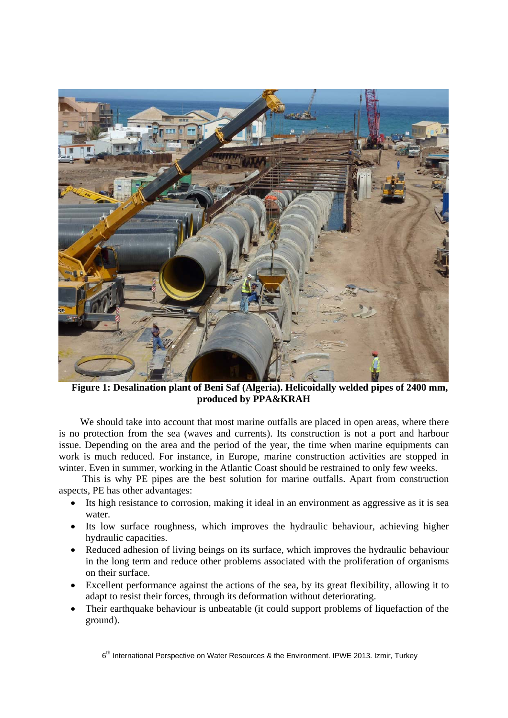

**Figure 1: Desalination plant of Beni Saf (Algeria). Helicoidally welded pipes of 2400 mm, produced by PPA&KRAH** 

We should take into account that most marine outfalls are placed in open areas, where there is no protection from the sea (waves and currents). Its construction is not a port and harbour issue. Depending on the area and the period of the year, the time when marine equipments can work is much reduced. For instance, in Europe, marine construction activities are stopped in winter. Even in summer, working in the Atlantic Coast should be restrained to only few weeks.

This is why PE pipes are the best solution for marine outfalls. Apart from construction aspects, PE has other advantages:

- Its high resistance to corrosion, making it ideal in an environment as aggressive as it is sea water.
- Its low surface roughness, which improves the hydraulic behaviour, achieving higher hydraulic capacities.
- Reduced adhesion of living beings on its surface, which improves the hydraulic behaviour in the long term and reduce other problems associated with the proliferation of organisms on their surface.
- Excellent performance against the actions of the sea, by its great flexibility, allowing it to adapt to resist their forces, through its deformation without deteriorating.
- Their earthquake behaviour is unbeatable (it could support problems of liquefaction of the ground).

6<sup>th</sup> International Perspective on Water Resources & the Environment. IPWE 2013. Izmir, Turkey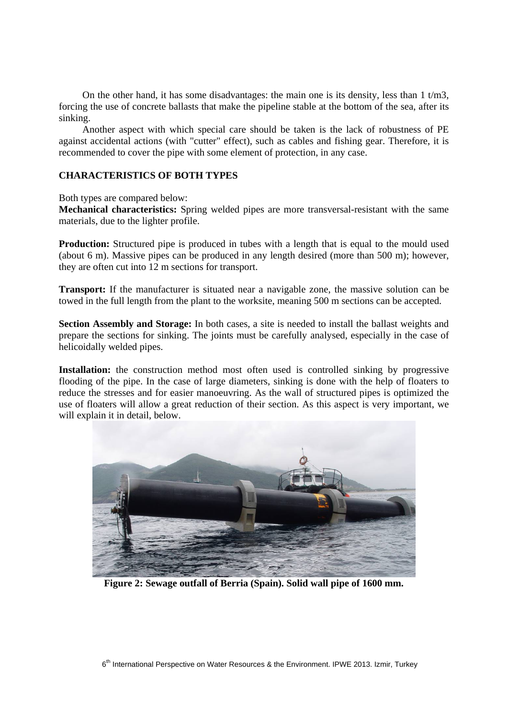On the other hand, it has some disadvantages: the main one is its density, less than  $1 \text{ t/m}$ 3, forcing the use of concrete ballasts that make the pipeline stable at the bottom of the sea, after its sinking.

Another aspect with which special care should be taken is the lack of robustness of PE against accidental actions (with "cutter" effect), such as cables and fishing gear. Therefore, it is recommended to cover the pipe with some element of protection, in any case.

# **CHARACTERISTICS OF BOTH TYPES**

Both types are compared below:

**Mechanical characteristics:** Spring welded pipes are more transversal-resistant with the same materials, due to the lighter profile.

**Production:** Structured pipe is produced in tubes with a length that is equal to the mould used (about 6 m). Massive pipes can be produced in any length desired (more than 500 m); however, they are often cut into 12 m sections for transport.

**Transport:** If the manufacturer is situated near a navigable zone, the massive solution can be towed in the full length from the plant to the worksite, meaning 500 m sections can be accepted.

**Section Assembly and Storage:** In both cases, a site is needed to install the ballast weights and prepare the sections for sinking. The joints must be carefully analysed, especially in the case of helicoidally welded pipes.

**Installation:** the construction method most often used is controlled sinking by progressive flooding of the pipe. In the case of large diameters, sinking is done with the help of floaters to reduce the stresses and for easier manoeuvring. As the wall of structured pipes is optimized the use of floaters will allow a great reduction of their section. As this aspect is very important, we will explain it in detail, below.



**Figure 2: Sewage outfall of Berria (Spain). Solid wall pipe of 1600 mm.**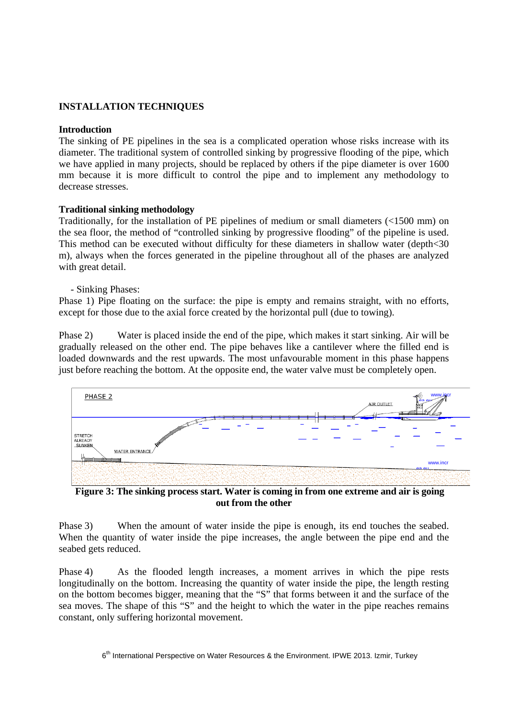# **INSTALLATION TECHNIQUES**

## **Introduction**

The sinking of PE pipelines in the sea is a complicated operation whose risks increase with its diameter. The traditional system of controlled sinking by progressive flooding of the pipe, which we have applied in many projects, should be replaced by others if the pipe diameter is over 1600 mm because it is more difficult to control the pipe and to implement any methodology to decrease stresses.

## **Traditional sinking methodology**

Traditionally, for the installation of PE pipelines of medium or small diameters (<1500 mm) on the sea floor, the method of "controlled sinking by progressive flooding" of the pipeline is used. This method can be executed without difficulty for these diameters in shallow water (depth<30 m), always when the forces generated in the pipeline throughout all of the phases are analyzed with great detail.

## - Sinking Phases:

Phase 1) Pipe floating on the surface: the pipe is empty and remains straight, with no efforts, except for those due to the axial force created by the horizontal pull (due to towing).

Phase 2) Water is placed inside the end of the pipe, which makes it start sinking. Air will be gradually released on the other end. The pipe behaves like a cantilever where the filled end is loaded downwards and the rest upwards. The most unfavourable moment in this phase happens just before reaching the bottom. At the opposite end, the water valve must be completely open.



**Figure 3: The sinking process start. Water is coming in from one extreme and air is going out from the other** 

Phase 3) When the amount of water inside the pipe is enough, its end touches the seabed. When the quantity of water inside the pipe increases, the angle between the pipe end and the seabed gets reduced.

Phase 4) As the flooded length increases, a moment arrives in which the pipe rests longitudinally on the bottom. Increasing the quantity of water inside the pipe, the length resting on the bottom becomes bigger, meaning that the "S" that forms between it and the surface of the sea moves. The shape of this "S" and the height to which the water in the pipe reaches remains constant, only suffering horizontal movement.

 $6<sup>th</sup>$  International Perspective on Water Resources & the Environment. IPWE 2013. Izmir, Turkey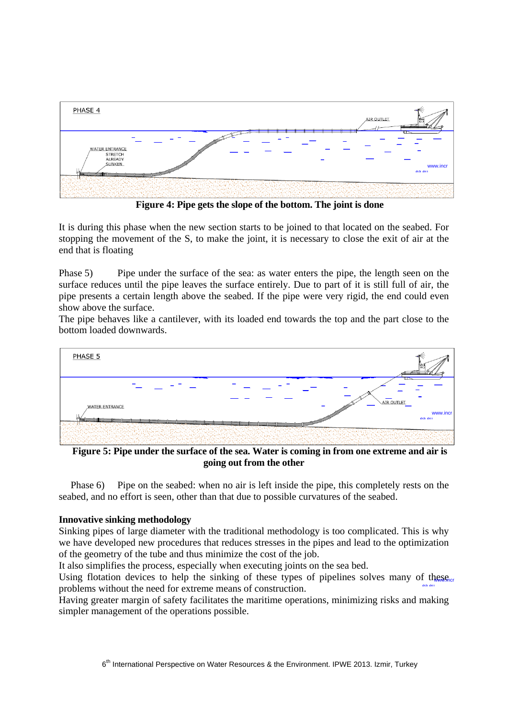

**Figure 4: Pipe gets the slope of the bottom. The joint is done** 

It is during this phase when the new section starts to be joined to that located on the seabed. For stopping the movement of the S, to make the joint, it is necessary to close the exit of air at the end that is floating

Phase 5) Pipe under the surface of the sea: as water enters the pipe, the length seen on the surface reduces until the pipe leaves the surface entirely. Due to part of it is still full of air, the pipe presents a certain length above the seabed. If the pipe were very rigid, the end could even show above the surface.

The pipe behaves like a cantilever, with its loaded end towards the top and the part close to the bottom loaded downwards.



**Figure 5: Pipe under the surface of the sea. Water is coming in from one extreme and air is going out from the other** 

Phase 6) Pipe on the seabed: when no air is left inside the pipe, this completely rests on the seabed, and no effort is seen, other than that due to possible curvatures of the seabed.

# **Innovative sinking methodology**

Sinking pipes of large diameter with the traditional methodology is too complicated. This is why we have developed new procedures that reduces stresses in the pipes and lead to the optimization of the geometry of the tube and thus minimize the cost of the job.

It also simplifies the process, especially when executing joints on the sea bed.

Using flotation devices to help the sinking of these types of pipelines solves many of these problems without the need for extreme means of construction. ea eu

Having greater margin of safety facilitates the maritime operations, minimizing risks and making simpler management of the operations possible.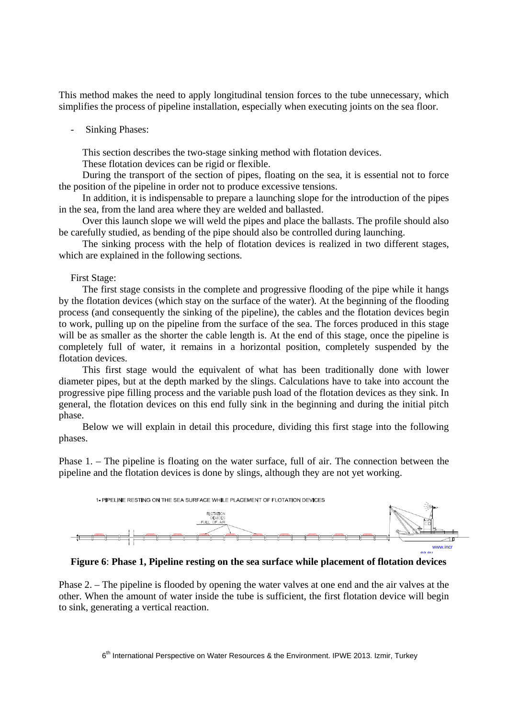This method makes the need to apply longitudinal tension forces to the tube unnecessary, which simplifies the process of pipeline installation, especially when executing joints on the sea floor.

#### **Sinking Phases:**

This section describes the two-stage sinking method with flotation devices.

These flotation devices can be rigid or flexible.

During the transport of the section of pipes, floating on the sea, it is essential not to force the position of the pipeline in order not to produce excessive tensions.

In addition, it is indispensable to prepare a launching slope for the introduction of the pipes in the sea, from the land area where they are welded and ballasted.

Over this launch slope we will weld the pipes and place the ballasts. The profile should also be carefully studied, as bending of the pipe should also be controlled during launching.

The sinking process with the help of flotation devices is realized in two different stages, which are explained in the following sections.

## First Stage:

The first stage consists in the complete and progressive flooding of the pipe while it hangs by the flotation devices (which stay on the surface of the water). At the beginning of the flooding process (and consequently the sinking of the pipeline), the cables and the flotation devices begin to work, pulling up on the pipeline from the surface of the sea. The forces produced in this stage will be as smaller as the shorter the cable length is. At the end of this stage, once the pipeline is completely full of water, it remains in a horizontal position, completely suspended by the flotation devices.

This first stage would the equivalent of what has been traditionally done with lower diameter pipes, but at the depth marked by the slings. Calculations have to take into account the progressive pipe filling process and the variable push load of the flotation devices as they sink. In general, the flotation devices on this end fully sink in the beginning and during the initial pitch phase.

Below we will explain in detail this procedure, dividing this first stage into the following phases.

Phase 1. – The pipeline is floating on the water surface, full of air. The connection between the pipeline and the flotation devices is done by slings, although they are not yet working.



**Figure 6**: **Phase 1, Pipeline resting on the sea surface while placement of flotation devices**

Phase 2. – The pipeline is flooded by opening the water valves at one end and the air valves at the other. When the amount of water inside the tube is sufficient, the first flotation device will begin to sink, generating a vertical reaction.

6<sup>th</sup> International Perspective on Water Resources & the Environment. IPWE 2013. Izmir, Turkey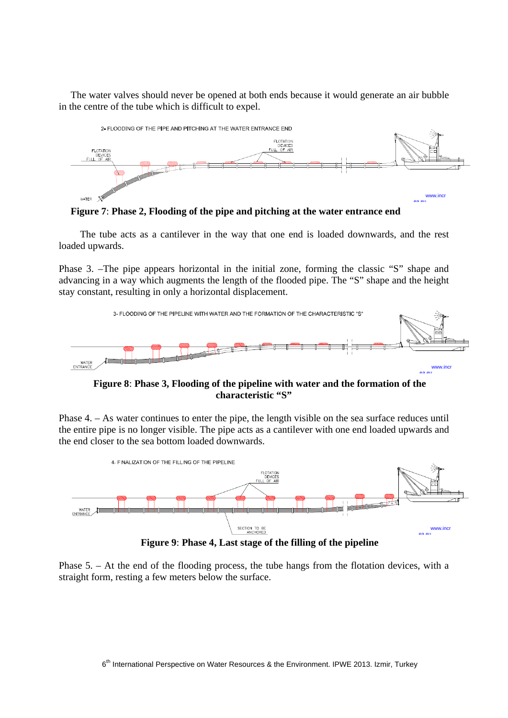The water valves should never be opened at both ends because it would generate an air bubble in the centre of the tube which is difficult to expel.



**Figure 7**: **Phase 2, Flooding of the pipe and pitching at the water entrance end** 

The tube acts as a cantilever in the way that one end is loaded downwards, and the rest loaded upwards.

Phase 3. –The pipe appears horizontal in the initial zone, forming the classic "S" shape and advancing in a way which augments the length of the flooded pipe. The "S" shape and the height stay constant, resulting in only a horizontal displacement.



**Figure 8**: **Phase 3, Flooding of the pipeline with water and the formation of the characteristic "S"** 

Phase 4. – As water continues to enter the pipe, the length visible on the sea surface reduces until the entire pipe is no longer visible. The pipe acts as a cantilever with one end loaded upwards and the end closer to the sea bottom loaded downwards.



**Figure 9**: **Phase 4, Last stage of the filling of the pipeline**

Phase 5. – At the end of the flooding process, the tube hangs from the flotation devices, with a straight form, resting a few meters below the surface.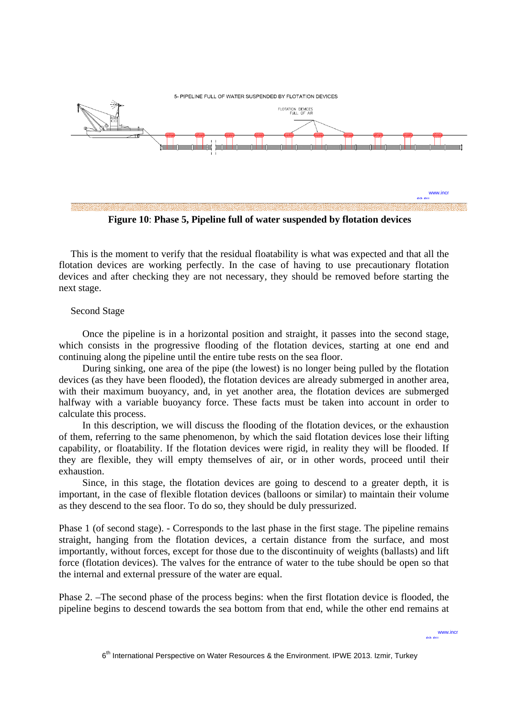

**Figure 10**: **Phase 5, Pipeline full of water suspended by flotation devices** 

This is the moment to verify that the residual floatability is what was expected and that all the flotation devices are working perfectly. In the case of having to use precautionary flotation devices and after checking they are not necessary, they should be removed before starting the next stage.

#### Second Stage

Once the pipeline is in a horizontal position and straight, it passes into the second stage, which consists in the progressive flooding of the flotation devices, starting at one end and continuing along the pipeline until the entire tube rests on the sea floor.

During sinking, one area of the pipe (the lowest) is no longer being pulled by the flotation devices (as they have been flooded), the flotation devices are already submerged in another area, with their maximum buoyancy, and, in yet another area, the flotation devices are submerged halfway with a variable buoyancy force. These facts must be taken into account in order to calculate this process.

In this description, we will discuss the flooding of the flotation devices, or the exhaustion of them, referring to the same phenomenon, by which the said flotation devices lose their lifting capability, or floatability. If the flotation devices were rigid, in reality they will be flooded. If they are flexible, they will empty themselves of air, or in other words, proceed until their exhaustion.

Since, in this stage, the flotation devices are going to descend to a greater depth, it is important, in the case of flexible flotation devices (balloons or similar) to maintain their volume as they descend to the sea floor. To do so, they should be duly pressurized.

Phase 1 (of second stage). - Corresponds to the last phase in the first stage. The pipeline remains straight, hanging from the flotation devices, a certain distance from the surface, and most importantly, without forces, except for those due to the discontinuity of weights (ballasts) and lift force (flotation devices). The valves for the entrance of water to the tube should be open so that the internal and external pressure of the water are equal.

Phase 2. –The second phase of the process begins: when the first flotation device is flooded, the pipeline begins to descend towards the sea bottom from that end, while the other end remains at

www.inc ea eu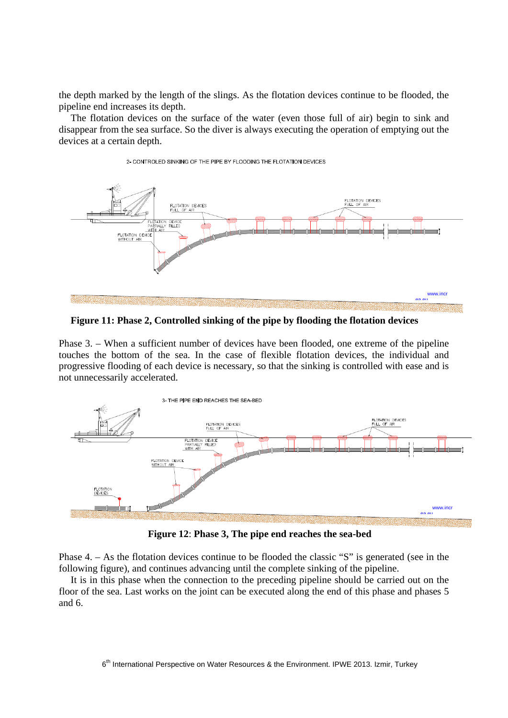the depth marked by the length of the slings. As the flotation devices continue to be flooded, the pipeline end increases its depth.

The flotation devices on the surface of the water (even those full of air) begin to sink and disappear from the sea surface. So the diver is always executing the operation of emptying out the devices at a certain depth.



#### 2- CONTROLED SINKING OF THE PIPE BY FLOODING THE FLOTATION DEVICES

**Figure 11: Phase 2, Controlled sinking of the pipe by flooding the flotation devices** 

Phase 3. – When a sufficient number of devices have been flooded, one extreme of the pipeline touches the bottom of the sea. In the case of flexible flotation devices, the individual and progressive flooding of each device is necessary, so that the sinking is controlled with ease and is not unnecessarily accelerated.



**Figure 12**: **Phase 3, The pipe end reaches the sea-bed**

Phase 4. – As the flotation devices continue to be flooded the classic "S" is generated (see in the following figure), and continues advancing until the complete sinking of the pipeline.

It is in this phase when the connection to the preceding pipeline should be carried out on the floor of the sea. Last works on the joint can be executed along the end of this phase and phases 5 and 6.